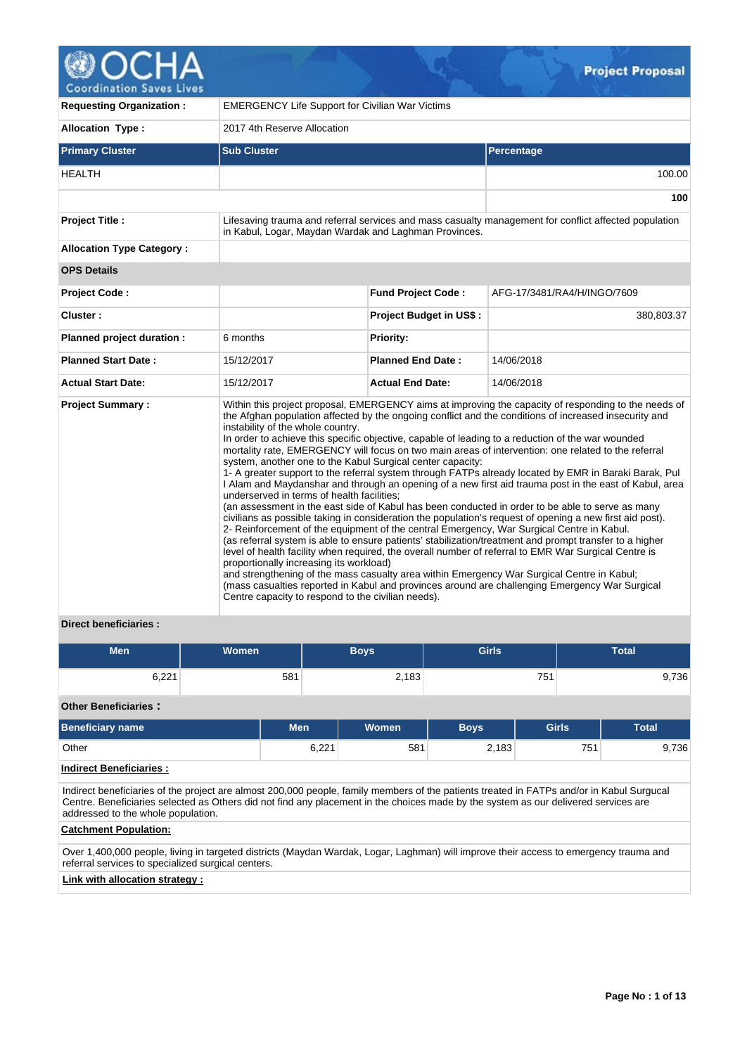

**Coordination Saves Lives** 

| <b>Requesting Organization:</b>  | <b>EMERGENCY Life Support for Civilian War Victims</b>                                                                                                                                                                                                                                                                                      |                                |                                                                                                                                                                                                                                                                                                                                                                                                                                                                                                                                                                                                                                                                                                                                                                                                                                                                                                                                                                                                                                                                                                                                                                                                                                                                                 |  |  |  |  |  |  |
|----------------------------------|---------------------------------------------------------------------------------------------------------------------------------------------------------------------------------------------------------------------------------------------------------------------------------------------------------------------------------------------|--------------------------------|---------------------------------------------------------------------------------------------------------------------------------------------------------------------------------------------------------------------------------------------------------------------------------------------------------------------------------------------------------------------------------------------------------------------------------------------------------------------------------------------------------------------------------------------------------------------------------------------------------------------------------------------------------------------------------------------------------------------------------------------------------------------------------------------------------------------------------------------------------------------------------------------------------------------------------------------------------------------------------------------------------------------------------------------------------------------------------------------------------------------------------------------------------------------------------------------------------------------------------------------------------------------------------|--|--|--|--|--|--|
| <b>Allocation Type:</b>          | 2017 4th Reserve Allocation                                                                                                                                                                                                                                                                                                                 |                                |                                                                                                                                                                                                                                                                                                                                                                                                                                                                                                                                                                                                                                                                                                                                                                                                                                                                                                                                                                                                                                                                                                                                                                                                                                                                                 |  |  |  |  |  |  |
| <b>Primary Cluster</b>           | <b>Sub Cluster</b>                                                                                                                                                                                                                                                                                                                          |                                | Percentage                                                                                                                                                                                                                                                                                                                                                                                                                                                                                                                                                                                                                                                                                                                                                                                                                                                                                                                                                                                                                                                                                                                                                                                                                                                                      |  |  |  |  |  |  |
| <b>HEALTH</b>                    |                                                                                                                                                                                                                                                                                                                                             |                                | 100.00                                                                                                                                                                                                                                                                                                                                                                                                                                                                                                                                                                                                                                                                                                                                                                                                                                                                                                                                                                                                                                                                                                                                                                                                                                                                          |  |  |  |  |  |  |
|                                  |                                                                                                                                                                                                                                                                                                                                             |                                | 100                                                                                                                                                                                                                                                                                                                                                                                                                                                                                                                                                                                                                                                                                                                                                                                                                                                                                                                                                                                                                                                                                                                                                                                                                                                                             |  |  |  |  |  |  |
| <b>Project Title:</b>            | in Kabul, Logar, Maydan Wardak and Laghman Provinces.                                                                                                                                                                                                                                                                                       |                                | Lifesaving trauma and referral services and mass casualty management for conflict affected population                                                                                                                                                                                                                                                                                                                                                                                                                                                                                                                                                                                                                                                                                                                                                                                                                                                                                                                                                                                                                                                                                                                                                                           |  |  |  |  |  |  |
| <b>Allocation Type Category:</b> |                                                                                                                                                                                                                                                                                                                                             |                                |                                                                                                                                                                                                                                                                                                                                                                                                                                                                                                                                                                                                                                                                                                                                                                                                                                                                                                                                                                                                                                                                                                                                                                                                                                                                                 |  |  |  |  |  |  |
| <b>OPS Details</b>               |                                                                                                                                                                                                                                                                                                                                             |                                |                                                                                                                                                                                                                                                                                                                                                                                                                                                                                                                                                                                                                                                                                                                                                                                                                                                                                                                                                                                                                                                                                                                                                                                                                                                                                 |  |  |  |  |  |  |
| Project Code:                    |                                                                                                                                                                                                                                                                                                                                             | <b>Fund Project Code:</b>      | AFG-17/3481/RA4/H/INGO/7609                                                                                                                                                                                                                                                                                                                                                                                                                                                                                                                                                                                                                                                                                                                                                                                                                                                                                                                                                                                                                                                                                                                                                                                                                                                     |  |  |  |  |  |  |
| Cluster:                         |                                                                                                                                                                                                                                                                                                                                             | <b>Project Budget in US\$:</b> | 380,803.37                                                                                                                                                                                                                                                                                                                                                                                                                                                                                                                                                                                                                                                                                                                                                                                                                                                                                                                                                                                                                                                                                                                                                                                                                                                                      |  |  |  |  |  |  |
| Planned project duration :       | 6 months                                                                                                                                                                                                                                                                                                                                    | Priority:                      |                                                                                                                                                                                                                                                                                                                                                                                                                                                                                                                                                                                                                                                                                                                                                                                                                                                                                                                                                                                                                                                                                                                                                                                                                                                                                 |  |  |  |  |  |  |
| <b>Planned Start Date:</b>       | 15/12/2017                                                                                                                                                                                                                                                                                                                                  | <b>Planned End Date:</b>       | 14/06/2018                                                                                                                                                                                                                                                                                                                                                                                                                                                                                                                                                                                                                                                                                                                                                                                                                                                                                                                                                                                                                                                                                                                                                                                                                                                                      |  |  |  |  |  |  |
| <b>Actual Start Date:</b>        | 15/12/2017                                                                                                                                                                                                                                                                                                                                  | <b>Actual End Date:</b>        | 14/06/2018                                                                                                                                                                                                                                                                                                                                                                                                                                                                                                                                                                                                                                                                                                                                                                                                                                                                                                                                                                                                                                                                                                                                                                                                                                                                      |  |  |  |  |  |  |
| <b>Project Summary:</b>          | instability of the whole country.<br>system, another one to the Kabul Surgical center capacity:<br>underserved in terms of health facilities;<br>2- Reinforcement of the equipment of the central Emergency, War Surgical Centre in Kabul.<br>proportionally increasing its workload)<br>Centre capacity to respond to the civilian needs). |                                | Within this project proposal, EMERGENCY aims at improving the capacity of responding to the needs of<br>the Afghan population affected by the ongoing conflict and the conditions of increased insecurity and<br>In order to achieve this specific objective, capable of leading to a reduction of the war wounded<br>mortality rate, EMERGENCY will focus on two main areas of intervention: one related to the referral<br>1- A greater support to the referral system through FATPs already located by EMR in Baraki Barak, Pul<br>I Alam and Maydanshar and through an opening of a new first aid trauma post in the east of Kabul, area<br>(an assessment in the east side of Kabul has been conducted in order to be able to serve as many<br>civilians as possible taking in consideration the population's request of opening a new first aid post).<br>(as referral system is able to ensure patients' stabilization/treatment and prompt transfer to a higher<br>level of health facility when required, the overall number of referral to EMR War Surgical Centre is<br>and strengthening of the mass casualty area within Emergency War Surgical Centre in Kabul;<br>(mass casualties reported in Kabul and provinces around are challenging Emergency War Surgical |  |  |  |  |  |  |

# **Direct beneficiaries :**

| <b>Men</b> | <b>Women</b> | <b>Boys</b> | <b>Girls</b> | Total |
|------------|--------------|-------------|--------------|-------|
| 6,221      | 581          | 2,183       | 751          | 9,736 |

# **Other Beneficiaries :**

| <b>Beneficiary name</b>                                                                                                                                                                                                                                                                                                | <b>Men</b> | <b>Women</b> | <b>Boys</b> | <b>Girls</b> | <b>Total</b> |  |  |  |  |  |  |  |
|------------------------------------------------------------------------------------------------------------------------------------------------------------------------------------------------------------------------------------------------------------------------------------------------------------------------|------------|--------------|-------------|--------------|--------------|--|--|--|--|--|--|--|
| Other                                                                                                                                                                                                                                                                                                                  | 6.221      | 581          | 2.183       | 751          | 9.736        |  |  |  |  |  |  |  |
| <b>Indirect Beneficiaries:</b>                                                                                                                                                                                                                                                                                         |            |              |             |              |              |  |  |  |  |  |  |  |
| Indirect beneficiaries of the project are almost 200,000 people, family members of the patients treated in FATPs and/or in Kabul Surgucal<br>Centre. Beneficiaries selected as Others did not find any placement in the choices made by the system as our delivered services are<br>addressed to the whole population. |            |              |             |              |              |  |  |  |  |  |  |  |
| <b>Catchment Population:</b>                                                                                                                                                                                                                                                                                           |            |              |             |              |              |  |  |  |  |  |  |  |
| Over 1,400,000 people, living in targeted districts (Maydan Wardak, Logar, Laghman) will improve their access to emergency trauma and                                                                                                                                                                                  |            |              |             |              |              |  |  |  |  |  |  |  |

referral services to specialized surgical centers.

# **Link with allocation strategy :**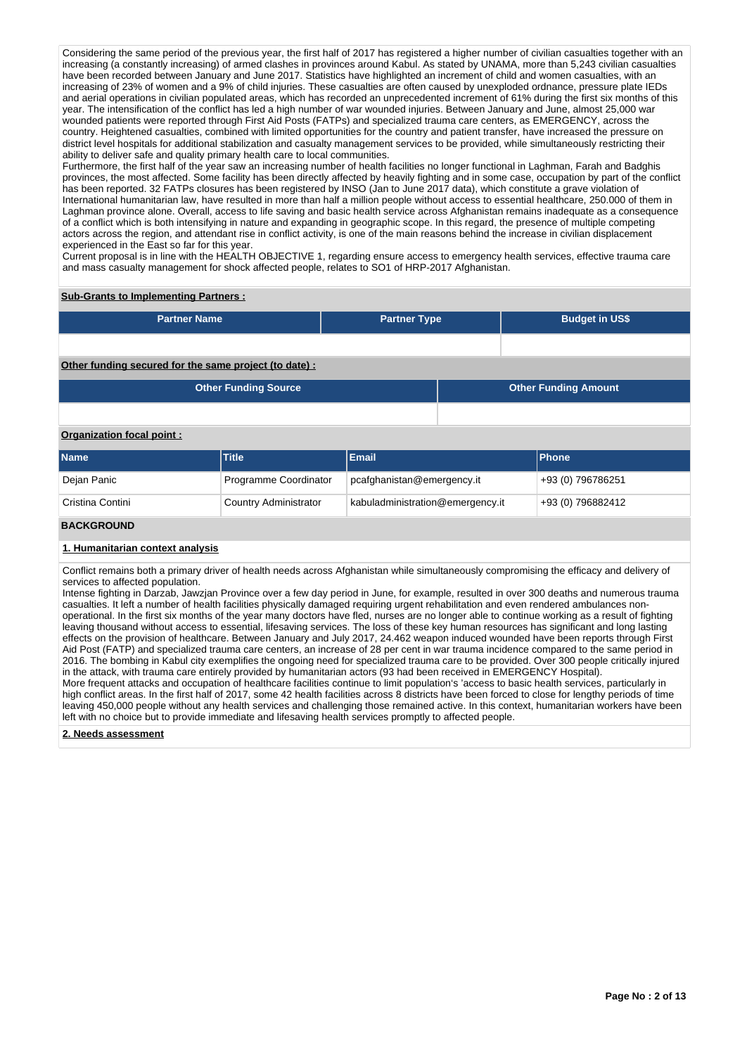Considering the same period of the previous year, the first half of 2017 has registered a higher number of civilian casualties together with an increasing (a constantly increasing) of armed clashes in provinces around Kabul. As stated by UNAMA, more than 5,243 civilian casualties have been recorded between January and June 2017. Statistics have highlighted an increment of child and women casualties, with an increasing of 23% of women and a 9% of child injuries. These casualties are often caused by unexploded ordnance, pressure plate IEDs and aerial operations in civilian populated areas, which has recorded an unprecedented increment of 61% during the first six months of this year. The intensification of the conflict has led a high number of war wounded injuries. Between January and June, almost 25,000 war wounded patients were reported through First Aid Posts (FATPs) and specialized trauma care centers, as EMERGENCY, across the country. Heightened casualties, combined with limited opportunities for the country and patient transfer, have increased the pressure on district level hospitals for additional stabilization and casualty management services to be provided, while simultaneously restricting their ability to deliver safe and quality primary health care to local communities.

Furthermore, the first half of the year saw an increasing number of health facilities no longer functional in Laghman, Farah and Badghis provinces, the most affected. Some facility has been directly affected by heavily fighting and in some case, occupation by part of the conflict has been reported. 32 FATPs closures has been registered by INSO (Jan to June 2017 data), which constitute a grave violation of International humanitarian law, have resulted in more than half a million people without access to essential healthcare, 250.000 of them in Laghman province alone. Overall, access to life saving and basic health service across Afghanistan remains inadequate as a consequence of a conflict which is both intensifying in nature and expanding in geographic scope. In this regard, the presence of multiple competing actors across the region, and attendant rise in conflict activity, is one of the main reasons behind the increase in civilian displacement experienced in the East so far for this year.

Current proposal is in line with the HEALTH OBJECTIVE 1, regarding ensure access to emergency health services, effective trauma care and mass casualty management for shock affected people, relates to SO1 of HRP-2017 Afghanistan.

### **Sub-Grants to Implementing Partners :**

| <b>Partner Name</b>                                    | <b>Partner Type</b> | <b>Budget in US\$</b>       |
|--------------------------------------------------------|---------------------|-----------------------------|
|                                                        |                     |                             |
| Other funding secured for the same project (to date) : |                     |                             |
| <b>Other Funding Source</b>                            |                     | <b>Other Funding Amount</b> |
|                                                        |                     |                             |

# **Organization focal point :**

| <b>Name</b>      | Title                 | Email                            | <b>IPhone</b>      |
|------------------|-----------------------|----------------------------------|--------------------|
| Dejan Panic      | Programme Coordinator | pcafghanistan@emergency.it       | $+93(0)$ 796786251 |
| Cristina Contini | Country Administrator | kabuladministration@emergency.it | +93 (0) 796882412  |

#### **BACKGROUND**

#### **1. Humanitarian context analysis**

Conflict remains both a primary driver of health needs across Afghanistan while simultaneously compromising the efficacy and delivery of services to affected population.

Intense fighting in Darzab, Jawzjan Province over a few day period in June, for example, resulted in over 300 deaths and numerous trauma casualties. It left a number of health facilities physically damaged requiring urgent rehabilitation and even rendered ambulances nonoperational. In the first six months of the year many doctors have fled, nurses are no longer able to continue working as a result of fighting leaving thousand without access to essential, lifesaving services. The loss of these key human resources has significant and long lasting effects on the provision of healthcare. Between January and July 2017, 24.462 weapon induced wounded have been reports through First Aid Post (FATP) and specialized trauma care centers, an increase of 28 per cent in war trauma incidence compared to the same period in 2016. The bombing in Kabul city exemplifies the ongoing need for specialized trauma care to be provided. Over 300 people critically injured in the attack, with trauma care entirely provided by humanitarian actors (93 had been received in EMERGENCY Hospital).

More frequent attacks and occupation of healthcare facilities continue to limit population's 'access to basic health services, particularly in high conflict areas. In the first half of 2017, some 42 health facilities across 8 districts have been forced to close for lengthy periods of time leaving 450,000 people without any health services and challenging those remained active. In this context, humanitarian workers have been left with no choice but to provide immediate and lifesaving health services promptly to affected people.

**2. Needs assessment**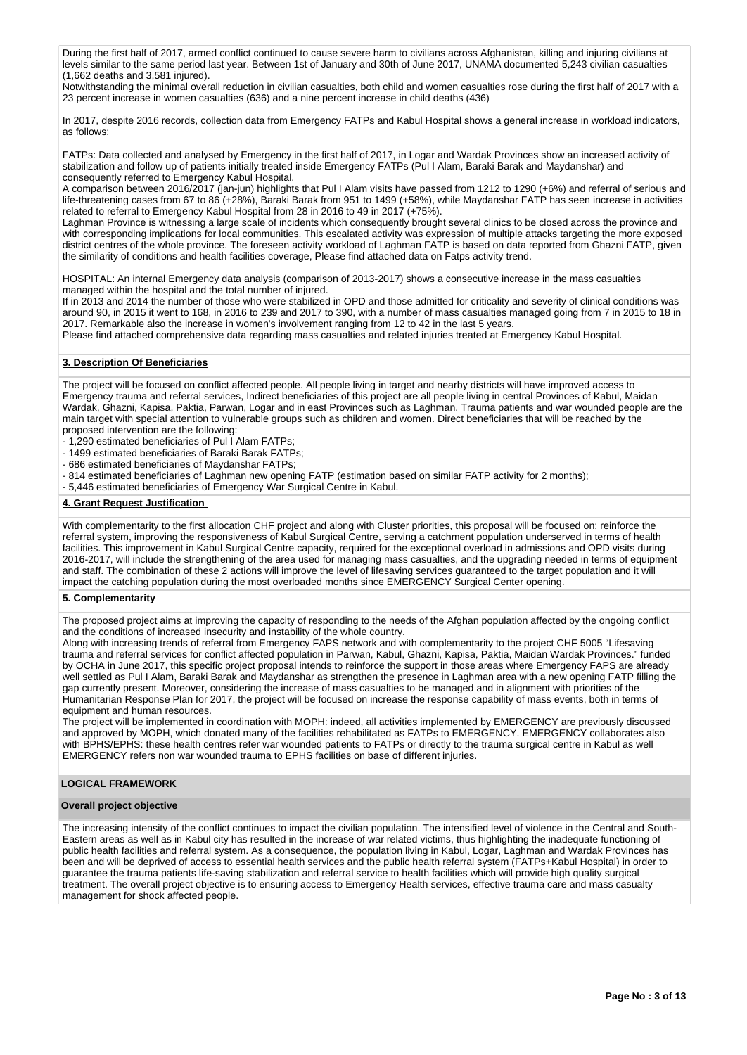During the first half of 2017, armed conflict continued to cause severe harm to civilians across Afghanistan, killing and injuring civilians at levels similar to the same period last year. Between 1st of January and 30th of June 2017, UNAMA documented 5,243 civilian casualties (1,662 deaths and 3,581 injured).

Notwithstanding the minimal overall reduction in civilian casualties, both child and women casualties rose during the first half of 2017 with a 23 percent increase in women casualties (636) and a nine percent increase in child deaths (436)

In 2017, despite 2016 records, collection data from Emergency FATPs and Kabul Hospital shows a general increase in workload indicators, as follows:

FATPs: Data collected and analysed by Emergency in the first half of 2017, in Logar and Wardak Provinces show an increased activity of stabilization and follow up of patients initially treated inside Emergency FATPs (Pul I Alam, Baraki Barak and Maydanshar) and consequently referred to Emergency Kabul Hospital.

A comparison between 2016/2017 (jan-jun) highlights that Pul I Alam visits have passed from 1212 to 1290 (+6%) and referral of serious and life-threatening cases from 67 to 86 (+28%), Baraki Barak from 951 to 1499 (+58%), while Maydanshar FATP has seen increase in activities related to referral to Emergency Kabul Hospital from 28 in 2016 to 49 in 2017 (+75%).

Laghman Province is witnessing a large scale of incidents which consequently brought several clinics to be closed across the province and with corresponding implications for local communities. This escalated activity was expression of multiple attacks targeting the more exposed district centres of the whole province. The foreseen activity workload of Laghman FATP is based on data reported from Ghazni FATP, given the similarity of conditions and health facilities coverage, Please find attached data on Fatps activity trend.

HOSPITAL: An internal Emergency data analysis (comparison of 2013-2017) shows a consecutive increase in the mass casualties managed within the hospital and the total number of injured.

If in 2013 and 2014 the number of those who were stabilized in OPD and those admitted for criticality and severity of clinical conditions was around 90, in 2015 it went to 168, in 2016 to 239 and 2017 to 390, with a number of mass casualties managed going from 7 in 2015 to 18 in 2017. Remarkable also the increase in women's involvement ranging from 12 to 42 in the last 5 years.

Please find attached comprehensive data regarding mass casualties and related injuries treated at Emergency Kabul Hospital.

# **3. Description Of Beneficiaries**

The project will be focused on conflict affected people. All people living in target and nearby districts will have improved access to Emergency trauma and referral services, Indirect beneficiaries of this project are all people living in central Provinces of Kabul, Maidan Wardak, Ghazni, Kapisa, Paktia, Parwan, Logar and in east Provinces such as Laghman. Trauma patients and war wounded people are the main target with special attention to vulnerable groups such as children and women. Direct beneficiaries that will be reached by the proposed intervention are the following:

- 1,290 estimated beneficiaries of Pul I Alam FATPs;

- 1499 estimated beneficiaries of Baraki Barak FATPs;

- 686 estimated beneficiaries of Maydanshar FATPs;
- 814 estimated beneficiaries of Laghman new opening FATP (estimation based on similar FATP activity for 2 months);
- 5,446 estimated beneficiaries of Emergency War Surgical Centre in Kabul.

### **4. Grant Request Justification**

With complementarity to the first allocation CHF project and along with Cluster priorities, this proposal will be focused on: reinforce the referral system, improving the responsiveness of Kabul Surgical Centre, serving a catchment population underserved in terms of health facilities. This improvement in Kabul Surgical Centre capacity, required for the exceptional overload in admissions and OPD visits during 2016-2017, will include the strengthening of the area used for managing mass casualties, and the upgrading needed in terms of equipment and staff. The combination of these 2 actions will improve the level of lifesaving services guaranteed to the target population and it will impact the catching population during the most overloaded months since EMERGENCY Surgical Center opening.

#### **5. Complementarity**

The proposed project aims at improving the capacity of responding to the needs of the Afghan population affected by the ongoing conflict and the conditions of increased insecurity and instability of the whole country.

Along with increasing trends of referral from Emergency FAPS network and with complementarity to the project CHF 5005 "Lifesaving trauma and referral services for conflict affected population in Parwan, Kabul, Ghazni, Kapisa, Paktia, Maidan Wardak Provinces." funded by OCHA in June 2017, this specific project proposal intends to reinforce the support in those areas where Emergency FAPS are already well settled as Pul I Alam, Baraki Barak and Maydanshar as strengthen the presence in Laghman area with a new opening FATP filling the gap currently present. Moreover, considering the increase of mass casualties to be managed and in alignment with priorities of the Humanitarian Response Plan for 2017, the project will be focused on increase the response capability of mass events, both in terms of equipment and human resources.

The project will be implemented in coordination with MOPH: indeed, all activities implemented by EMERGENCY are previously discussed and approved by MOPH, which donated many of the facilities rehabilitated as FATPs to EMERGENCY. EMERGENCY collaborates also with BPHS/EPHS: these health centres refer war wounded patients to FATPs or directly to the trauma surgical centre in Kabul as well EMERGENCY refers non war wounded trauma to EPHS facilities on base of different injuries.

#### **LOGICAL FRAMEWORK**

#### **Overall project objective**

The increasing intensity of the conflict continues to impact the civilian population. The intensified level of violence in the Central and South-Eastern areas as well as in Kabul city has resulted in the increase of war related victims, thus highlighting the inadequate functioning of public health facilities and referral system. As a consequence, the population living in Kabul, Logar, Laghman and Wardak Provinces has been and will be deprived of access to essential health services and the public health referral system (FATPs+Kabul Hospital) in order to guarantee the trauma patients life-saving stabilization and referral service to health facilities which will provide high quality surgical treatment. The overall project objective is to ensuring access to Emergency Health services, effective trauma care and mass casualty management for shock affected people.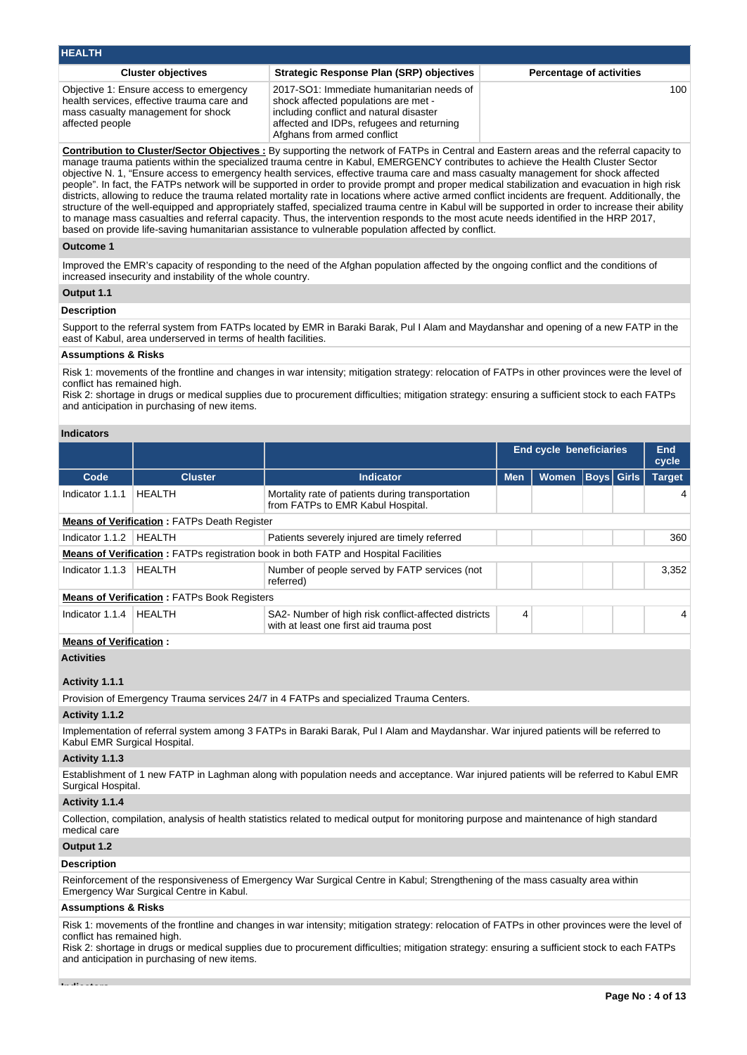| <b>HEALTH</b>                                                                                                                                  |                                                                                                                                                                                                          |                                 |
|------------------------------------------------------------------------------------------------------------------------------------------------|----------------------------------------------------------------------------------------------------------------------------------------------------------------------------------------------------------|---------------------------------|
| <b>Cluster objectives</b>                                                                                                                      | <b>Strategic Response Plan (SRP) objectives</b>                                                                                                                                                          | <b>Percentage of activities</b> |
| Objective 1: Ensure access to emergency<br>health services, effective trauma care and<br>mass casualty management for shock<br>affected people | 2017-SO1: Immediate humanitarian needs of<br>shock affected populations are met -<br>including conflict and natural disaster<br>affected and IDPs, refugees and returning<br>Afghans from armed conflict | 100.                            |

**Contribution to Cluster/Sector Objectives :** By supporting the network of FATPs in Central and Eastern areas and the referral capacity to manage trauma patients within the specialized trauma centre in Kabul, EMERGENCY contributes to achieve the Health Cluster Sector objective N. 1, "Ensure access to emergency health services, effective trauma care and mass casualty management for shock affected people". In fact, the FATPs network will be supported in order to provide prompt and proper medical stabilization and evacuation in high risk districts, allowing to reduce the trauma related mortality rate in locations where active armed conflict incidents are frequent. Additionally, the structure of the well-equipped and appropriately staffed, specialized trauma centre in Kabul will be supported in order to increase their ability to manage mass casualties and referral capacity. Thus, the intervention responds to the most acute needs identified in the HRP 2017, based on provide life-saving humanitarian assistance to vulnerable population affected by conflict.

#### **Outcome 1**

Improved the EMR's capacity of responding to the need of the Afghan population affected by the ongoing conflict and the conditions of increased insecurity and instability of the whole country.

# **Output 1.1**

#### **Description**

Support to the referral system from FATPs located by EMR in Baraki Barak, Pul I Alam and Maydanshar and opening of a new FATP in the east of Kabul, area underserved in terms of health facilities.

#### **Assumptions & Risks**

Risk 1: movements of the frontline and changes in war intensity; mitigation strategy: relocation of FATPs in other provinces were the level of conflict has remained high.

Risk 2: shortage in drugs or medical supplies due to procurement difficulties; mitigation strategy: ensuring a sufficient stock to each FATPs and anticipation in purchasing of new items.

# **Indicators**

|                               |                                                    |                                                                                                                                          | <b>End cycle beneficiaries</b> |                                     | <b>End</b><br>cycle |              |               |
|-------------------------------|----------------------------------------------------|------------------------------------------------------------------------------------------------------------------------------------------|--------------------------------|-------------------------------------|---------------------|--------------|---------------|
| Code                          | <b>Cluster</b>                                     | <b>Indicator</b>                                                                                                                         | <b>Men</b>                     | Women<br>$\overline{\mathsf{Boys}}$ |                     | <b>Girls</b> | <b>Target</b> |
| Indicator 1.1.1               | <b>HEALTH</b>                                      | Mortality rate of patients during transportation<br>from FATPs to EMR Kabul Hospital.                                                    |                                |                                     |                     |              | 4             |
|                               | <b>Means of Verification: FATPs Death Register</b> |                                                                                                                                          |                                |                                     |                     |              |               |
| Indicator 1.1.2               | <b>HEALTH</b>                                      | Patients severely injured are timely referred                                                                                            |                                |                                     |                     |              | 360           |
|                               |                                                    | <b>Means of Verification:</b> FATPs registration book in both FATP and Hospital Facilities                                               |                                |                                     |                     |              |               |
| Indicator 1.1.3               | <b>HEALTH</b>                                      | Number of people served by FATP services (not<br>referred)                                                                               |                                |                                     |                     |              | 3,352         |
|                               | <b>Means of Verification: FATPs Book Registers</b> |                                                                                                                                          |                                |                                     |                     |              |               |
| Indicator 1.1.4               | <b>HEALTH</b>                                      | SA2- Number of high risk conflict-affected districts<br>with at least one first aid trauma post                                          | 4                              |                                     |                     |              | 4             |
| <b>Means of Verification:</b> |                                                    |                                                                                                                                          |                                |                                     |                     |              |               |
| <b>Activities</b>             |                                                    |                                                                                                                                          |                                |                                     |                     |              |               |
| Activity 1.1.1                |                                                    |                                                                                                                                          |                                |                                     |                     |              |               |
|                               |                                                    | Provision of Emergency Trauma services 24/7 in 4 FATPs and specialized Trauma Centers.                                                   |                                |                                     |                     |              |               |
| Activity 1.1.2                |                                                    |                                                                                                                                          |                                |                                     |                     |              |               |
| Kabul EMR Surgical Hospital.  |                                                    | Implementation of referral system among 3 FATPs in Baraki Barak, Pul I Alam and Maydanshar. War injured patients will be referred to     |                                |                                     |                     |              |               |
| Activity 1.1.3                |                                                    |                                                                                                                                          |                                |                                     |                     |              |               |
| Surgical Hospital.            |                                                    | Establishment of 1 new FATP in Laghman along with population needs and acceptance. War injured patients will be referred to Kabul EMR    |                                |                                     |                     |              |               |
| Activity 1.1.4                |                                                    |                                                                                                                                          |                                |                                     |                     |              |               |
| medical care                  |                                                    | Collection, compilation, analysis of health statistics related to medical output for monitoring purpose and maintenance of high standard |                                |                                     |                     |              |               |

# **Output 1.2**

### **Description**

Reinforcement of the responsiveness of Emergency War Surgical Centre in Kabul; Strengthening of the mass casualty area within Emergency War Surgical Centre in Kabul.

#### **Assumptions & Risks**

Risk 1: movements of the frontline and changes in war intensity; mitigation strategy: relocation of FATPs in other provinces were the level of conflict has remained high.

Risk 2: shortage in drugs or medical supplies due to procurement difficulties; mitigation strategy: ensuring a sufficient stock to each FATPs and anticipation in purchasing of new items.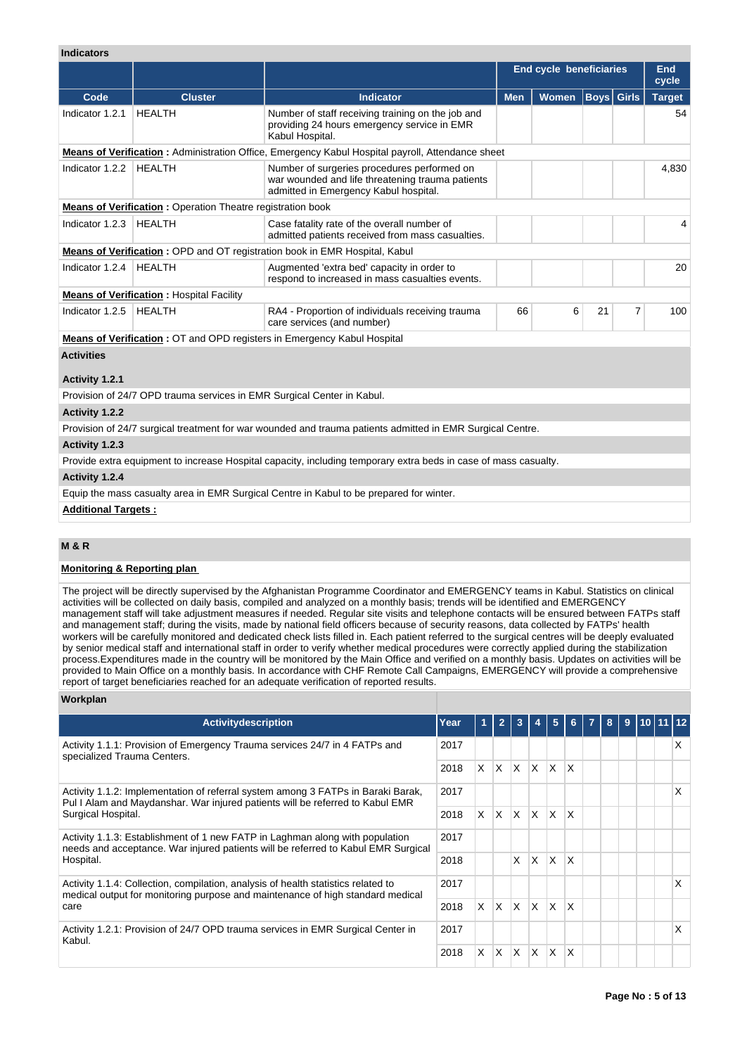# **Indicators**

|                   |                                                                        |                                                                                                                                          |            | <b>End cycle beneficiaries</b> |                   |   | End<br>cycle  |
|-------------------|------------------------------------------------------------------------|------------------------------------------------------------------------------------------------------------------------------------------|------------|--------------------------------|-------------------|---|---------------|
| Code              | <b>Cluster</b>                                                         | <b>Indicator</b>                                                                                                                         | <b>Men</b> | <b>Women</b>                   | <b>Boys</b> Girls |   | <b>Target</b> |
| Indicator 1.2.1   | <b>HEALTH</b>                                                          | Number of staff receiving training on the job and<br>providing 24 hours emergency service in EMR<br>Kabul Hospital.                      |            |                                |                   |   | 54            |
|                   |                                                                        | Means of Verification: Administration Office, Emergency Kabul Hospital payroll, Attendance sheet                                         |            |                                |                   |   |               |
| Indicator 1.2.2   | <b>HEALTH</b>                                                          | Number of surgeries procedures performed on<br>war wounded and life threatening trauma patients<br>admitted in Emergency Kabul hospital. |            |                                |                   |   | 4,830         |
|                   | <b>Means of Verification:</b> Operation Theatre registration book      |                                                                                                                                          |            |                                |                   |   |               |
| Indicator 1.2.3   | <b>HEALTH</b>                                                          | Case fatality rate of the overall number of<br>admitted patients received from mass casualties.                                          |            |                                |                   |   | 4             |
|                   |                                                                        | <b>Means of Verification: OPD and OT registration book in EMR Hospital, Kabul</b>                                                        |            |                                |                   |   |               |
| Indicator 1.2.4   | <b>HEALTH</b>                                                          | Augmented 'extra bed' capacity in order to<br>respond to increased in mass casualties events.                                            |            |                                |                   |   | 20            |
|                   | <b>Means of Verification: Hospital Facility</b>                        |                                                                                                                                          |            |                                |                   |   |               |
| Indicator 1.2.5   | <b>HEALTH</b>                                                          | RA4 - Proportion of individuals receiving trauma<br>care services (and number)                                                           | 66         | 6                              | 21                | 7 | 100           |
|                   |                                                                        | <b>Means of Verification: OT and OPD registers in Emergency Kabul Hospital</b>                                                           |            |                                |                   |   |               |
| <b>Activities</b> |                                                                        |                                                                                                                                          |            |                                |                   |   |               |
| Activity 1.2.1    |                                                                        |                                                                                                                                          |            |                                |                   |   |               |
|                   | Provision of 24/7 OPD trauma services in EMR Surgical Center in Kabul. |                                                                                                                                          |            |                                |                   |   |               |
| Activity 1.2.2    |                                                                        |                                                                                                                                          |            |                                |                   |   |               |
|                   |                                                                        | Provision of 24/7 surgical treatment for war wounded and trauma patients admitted in EMR Surgical Centre.                                |            |                                |                   |   |               |
| Activity 1.2.3    |                                                                        |                                                                                                                                          |            |                                |                   |   |               |
|                   |                                                                        | Provide extra equipment to increase Hospital capacity, including temporary extra beds in case of mass casualty.                          |            |                                |                   |   |               |
| Activity 1.2.4    |                                                                        |                                                                                                                                          |            |                                |                   |   |               |
|                   |                                                                        | Equip the mass casualty area in EMR Surgical Centre in Kabul to be prepared for winter.                                                  |            |                                |                   |   |               |

**Additional Targets :**

# **M & R**

## **Monitoring & Reporting plan**

The project will be directly supervised by the Afghanistan Programme Coordinator and EMERGENCY teams in Kabul. Statistics on clinical activities will be collected on daily basis, compiled and analyzed on a monthly basis; trends will be identified and EMERGENCY management staff will take adjustment measures if needed. Regular site visits and telephone contacts will be ensured between FATPs staff and management staff; during the visits, made by national field officers because of security reasons, data collected by FATPs' health workers will be carefully monitored and dedicated check lists filled in. Each patient referred to the surgical centres will be deeply evaluated by senior medical staff and international staff in order to verify whether medical procedures were correctly applied during the stabilization process.Expenditures made in the country will be monitored by the Main Office and verified on a monthly basis. Updates on activities will be provided to Main Office on a monthly basis. In accordance with CHF Remote Call Campaigns, EMERGENCY will provide a comprehensive report of target beneficiaries reached for an adequate verification of reported results.

#### **Workplan**

| <b>Activity description</b>                                                                                                                                                             | Year |    | 2            |              |              | 5            | 6.           | 8 | 9 | 110111112 |   |
|-----------------------------------------------------------------------------------------------------------------------------------------------------------------------------------------|------|----|--------------|--------------|--------------|--------------|--------------|---|---|-----------|---|
| Activity 1.1.1: Provision of Emergency Trauma services 24/7 in 4 FATPs and<br>specialized Trauma Centers.                                                                               | 2017 |    |              |              |              |              |              |   |   |           | x |
|                                                                                                                                                                                         | 2018 | X. | ΙX.          | $\mathsf{X}$ | $\mathsf{X}$ | <sup>X</sup> | $\mathsf{X}$ |   |   |           |   |
| Activity 1.1.2: Implementation of referral system among 3 FATPs in Baraki Barak,<br>Pul I Alam and Maydanshar. War injured patients will be referred to Kabul EMR<br>Surgical Hospital. | 2017 |    |              |              |              |              |              |   |   |           | X |
|                                                                                                                                                                                         | 2018 | X. | X.           | lx.          | X            | $\mathsf{X}$ | $\times$     |   |   |           |   |
| Activity 1.1.3: Establishment of 1 new FATP in Laghman along with population<br>needs and acceptance. War injured patients will be referred to Kabul EMR Surgical                       | 2017 |    |              |              |              |              |              |   |   |           |   |
| Hospital.                                                                                                                                                                               | 2018 |    |              | $\mathsf{x}$ | $\times$     | $\mathsf{x}$ | <sup>X</sup> |   |   |           |   |
| Activity 1.1.4: Collection, compilation, analysis of health statistics related to                                                                                                       | 2017 |    |              |              |              |              |              |   |   |           | X |
| medical output for monitoring purpose and maintenance of high standard medical<br>care                                                                                                  | 2018 | X. | ΙX.          | $\mathsf{X}$ | $\mathsf{X}$ | <b>X</b>     | ΙX           |   |   |           |   |
| Activity 1.2.1: Provision of 24/7 OPD trauma services in EMR Surgical Center in<br>Kabul.                                                                                               | 2017 |    |              |              |              |              |              |   |   |           | X |
|                                                                                                                                                                                         | 2018 | X  | $\mathsf{X}$ | ΙX.          | X            | X            | X            |   |   |           |   |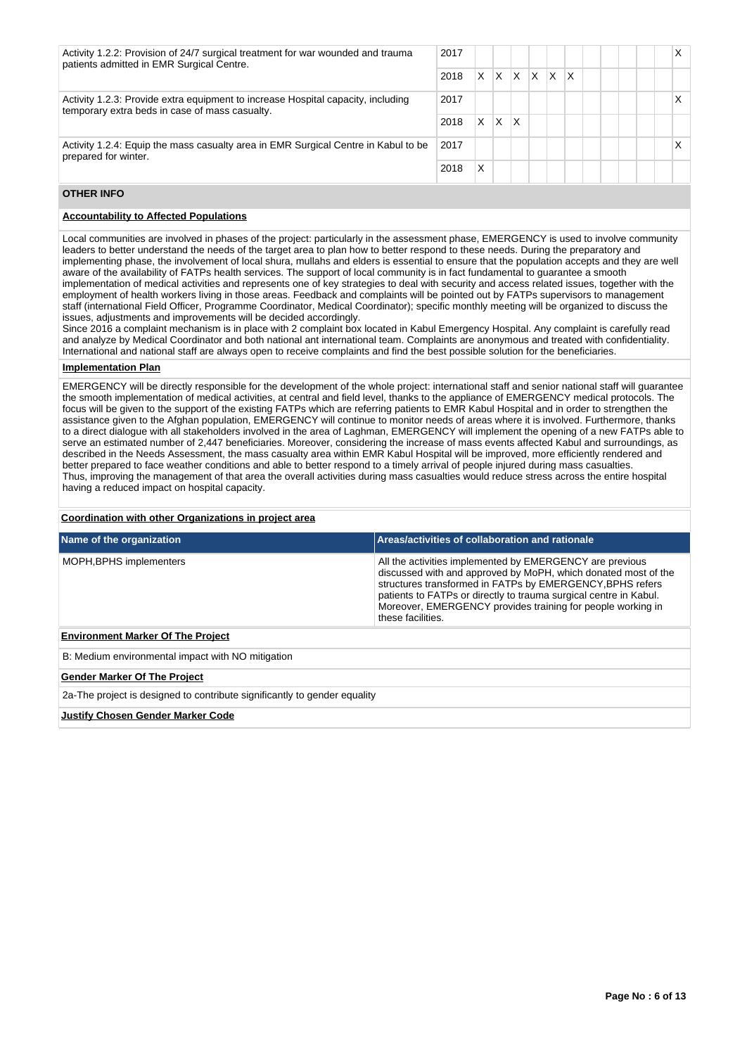| Activity 1.2.2: Provision of 24/7 surgical treatment for war wounded and trauma<br>patients admitted in EMR Surgical Centre.       | 2017 |   |   |    |     |                         |    |  |  | x |
|------------------------------------------------------------------------------------------------------------------------------------|------|---|---|----|-----|-------------------------|----|--|--|---|
|                                                                                                                                    | 2018 | X |   | XX | ΙX. | $\mathsf{I} \mathsf{X}$ | ΙX |  |  |   |
| Activity 1.2.3: Provide extra equipment to increase Hospital capacity, including<br>temporary extra beds in case of mass casualty. | 2017 |   |   |    |     |                         |    |  |  | х |
|                                                                                                                                    | 2018 | X | X | x  |     |                         |    |  |  |   |
| Activity 1.2.4: Equip the mass casualty area in EMR Surgical Centre in Kabul to be<br>prepared for winter.                         | 2017 |   |   |    |     |                         |    |  |  | х |
|                                                                                                                                    | 2018 | Χ |   |    |     |                         |    |  |  |   |

# **OTHER INFO**

# **Accountability to Affected Populations**

Local communities are involved in phases of the project: particularly in the assessment phase, EMERGENCY is used to involve community leaders to better understand the needs of the target area to plan how to better respond to these needs. During the preparatory and implementing phase, the involvement of local shura, mullahs and elders is essential to ensure that the population accepts and they are well aware of the availability of FATPs health services. The support of local community is in fact fundamental to guarantee a smooth implementation of medical activities and represents one of key strategies to deal with security and access related issues, together with the employment of health workers living in those areas. Feedback and complaints will be pointed out by FATPs supervisors to management staff (international Field Officer, Programme Coordinator, Medical Coordinator); specific monthly meeting will be organized to discuss the issues, adjustments and improvements will be decided accordingly.

Since 2016 a complaint mechanism is in place with 2 complaint box located in Kabul Emergency Hospital. Any complaint is carefully read and analyze by Medical Coordinator and both national ant international team. Complaints are anonymous and treated with confidentiality. International and national staff are always open to receive complaints and find the best possible solution for the beneficiaries.

### **Implementation Plan**

EMERGENCY will be directly responsible for the development of the whole project: international staff and senior national staff will guarantee the smooth implementation of medical activities, at central and field level, thanks to the appliance of EMERGENCY medical protocols. The focus will be given to the support of the existing FATPs which are referring patients to EMR Kabul Hospital and in order to strengthen the assistance given to the Afghan population, EMERGENCY will continue to monitor needs of areas where it is involved. Furthermore, thanks to a direct dialogue with all stakeholders involved in the area of Laghman, EMERGENCY will implement the opening of a new FATPs able to serve an estimated number of 2,447 beneficiaries. Moreover, considering the increase of mass events affected Kabul and surroundings, as described in the Needs Assessment, the mass casualty area within EMR Kabul Hospital will be improved, more efficiently rendered and better prepared to face weather conditions and able to better respond to a timely arrival of people injured during mass casualties. Thus, improving the management of that area the overall activities during mass casualties would reduce stress across the entire hospital having a reduced impact on hospital capacity.

#### **Coordination with other Organizations in project area**

| Name of the organization                                                  | Areas/activities of collaboration and rationale                                                                                                                                                                                                                                                                                                  |
|---------------------------------------------------------------------------|--------------------------------------------------------------------------------------------------------------------------------------------------------------------------------------------------------------------------------------------------------------------------------------------------------------------------------------------------|
| MOPH, BPHS implementers                                                   | All the activities implemented by EMERGENCY are previous<br>discussed with and approved by MoPH, which donated most of the<br>structures transformed in FATPs by EMERGENCY, BPHS refers<br>patients to FATPs or directly to trauma surgical centre in Kabul.<br>Moreover, EMERGENCY provides training for people working in<br>these facilities. |
| <b>Environment Marker Of The Project</b>                                  |                                                                                                                                                                                                                                                                                                                                                  |
| B: Medium environmental impact with NO mitigation                         |                                                                                                                                                                                                                                                                                                                                                  |
| <b>Gender Marker Of The Project</b>                                       |                                                                                                                                                                                                                                                                                                                                                  |
| 2a-The project is designed to contribute significantly to gender equality |                                                                                                                                                                                                                                                                                                                                                  |
| <b>Justify Chosen Gender Marker Code</b>                                  |                                                                                                                                                                                                                                                                                                                                                  |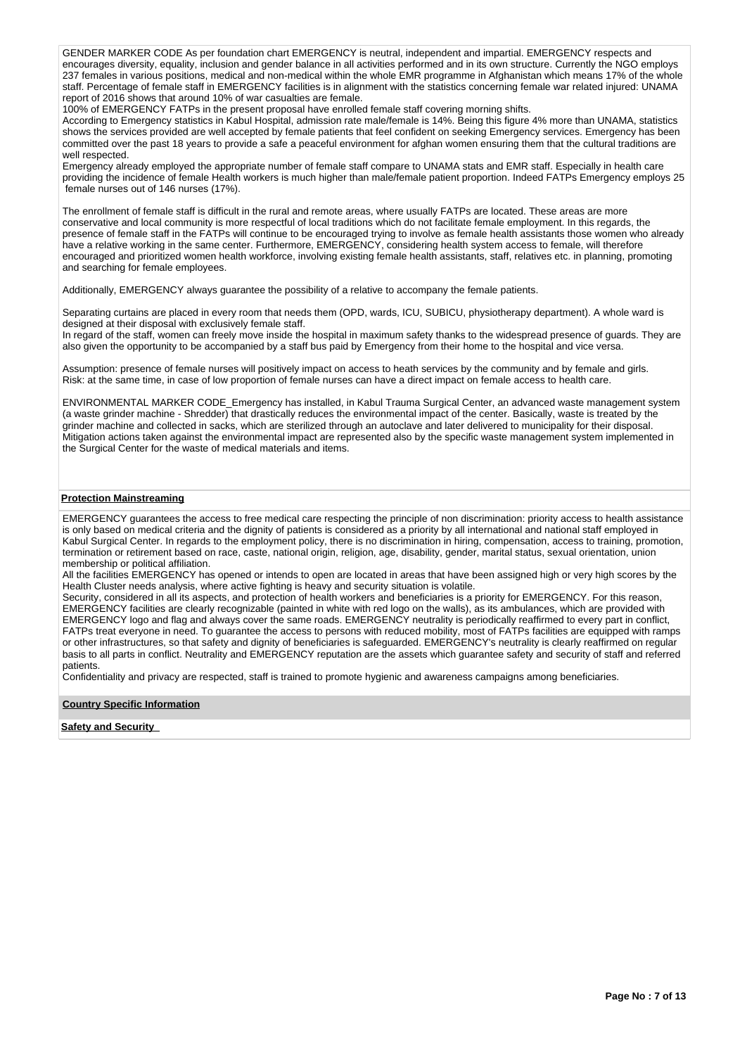GENDER MARKER CODE As per foundation chart EMERGENCY is neutral, independent and impartial. EMERGENCY respects and encourages diversity, equality, inclusion and gender balance in all activities performed and in its own structure. Currently the NGO employs 237 females in various positions, medical and non-medical within the whole EMR programme in Afghanistan which means 17% of the whole staff. Percentage of female staff in EMERGENCY facilities is in alignment with the statistics concerning female war related injured: UNAMA report of 2016 shows that around 10% of war casualties are female.

100% of EMERGENCY FATPs in the present proposal have enrolled female staff covering morning shifts.

According to Emergency statistics in Kabul Hospital, admission rate male/female is 14%. Being this figure 4% more than UNAMA, statistics shows the services provided are well accepted by female patients that feel confident on seeking Emergency services. Emergency has been committed over the past 18 years to provide a safe a peaceful environment for afghan women ensuring them that the cultural traditions are well respected.

Emergency already employed the appropriate number of female staff compare to UNAMA stats and EMR staff. Especially in health care providing the incidence of female Health workers is much higher than male/female patient proportion. Indeed FATPs Emergency employs 25 female nurses out of 146 nurses (17%).

The enrollment of female staff is difficult in the rural and remote areas, where usually FATPs are located. These areas are more conservative and local community is more respectful of local traditions which do not facilitate female employment. In this regards, the presence of female staff in the FATPs will continue to be encouraged trying to involve as female health assistants those women who already have a relative working in the same center. Furthermore, EMERGENCY, considering health system access to female, will therefore encouraged and prioritized women health workforce, involving existing female health assistants, staff, relatives etc. in planning, promoting and searching for female employees.

Additionally, EMERGENCY always guarantee the possibility of a relative to accompany the female patients.

Separating curtains are placed in every room that needs them (OPD, wards, ICU, SUBICU, physiotherapy department). A whole ward is designed at their disposal with exclusively female staff.

In regard of the staff, women can freely move inside the hospital in maximum safety thanks to the widespread presence of guards. They are also given the opportunity to be accompanied by a staff bus paid by Emergency from their home to the hospital and vice versa.

Assumption: presence of female nurses will positively impact on access to heath services by the community and by female and girls. Risk: at the same time, in case of low proportion of female nurses can have a direct impact on female access to health care.

ENVIRONMENTAL MARKER CODE\_Emergency has installed, in Kabul Trauma Surgical Center, an advanced waste management system (a waste grinder machine - Shredder) that drastically reduces the environmental impact of the center. Basically, waste is treated by the grinder machine and collected in sacks, which are sterilized through an autoclave and later delivered to municipality for their disposal. Mitigation actions taken against the environmental impact are represented also by the specific waste management system implemented in the Surgical Center for the waste of medical materials and items.

#### **Protection Mainstreaming**

EMERGENCY guarantees the access to free medical care respecting the principle of non discrimination: priority access to health assistance is only based on medical criteria and the dignity of patients is considered as a priority by all international and national staff employed in Kabul Surgical Center. In regards to the employment policy, there is no discrimination in hiring, compensation, access to training, promotion, termination or retirement based on race, caste, national origin, religion, age, disability, gender, marital status, sexual orientation, union membership or political affiliation.

All the facilities EMERGENCY has opened or intends to open are located in areas that have been assigned high or very high scores by the Health Cluster needs analysis, where active fighting is heavy and security situation is volatile.

Security, considered in all its aspects, and protection of health workers and beneficiaries is a priority for EMERGENCY. For this reason, EMERGENCY facilities are clearly recognizable (painted in white with red logo on the walls), as its ambulances, which are provided with EMERGENCY logo and flag and always cover the same roads. EMERGENCY neutrality is periodically reaffirmed to every part in conflict, FATPs treat everyone in need. To guarantee the access to persons with reduced mobility, most of FATPs facilities are equipped with ramps or other infrastructures, so that safety and dignity of beneficiaries is safeguarded. EMERGENCY's neutrality is clearly reaffirmed on regular basis to all parts in conflict. Neutrality and EMERGENCY reputation are the assets which guarantee safety and security of staff and referred patients.

Confidentiality and privacy are respected, staff is trained to promote hygienic and awareness campaigns among beneficiaries.

#### **Country Specific Information**

**Safety and Security**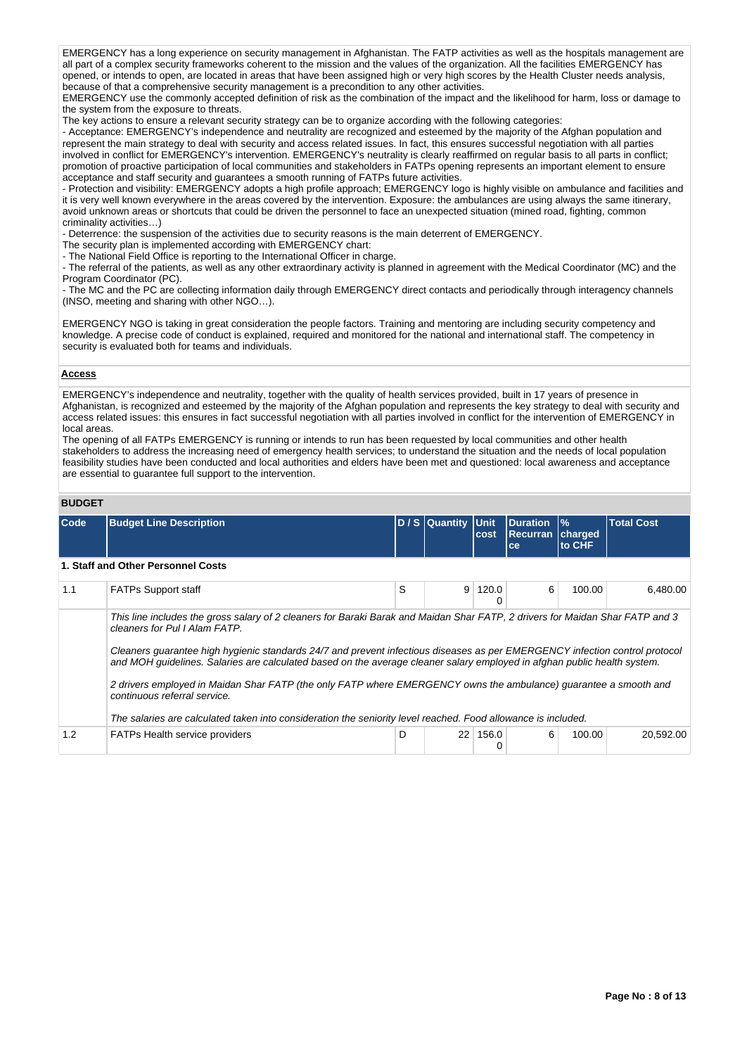EMERGENCY has a long experience on security management in Afghanistan. The FATP activities as well as the hospitals management are all part of a complex security frameworks coherent to the mission and the values of the organization. All the facilities EMERGENCY has opened, or intends to open, are located in areas that have been assigned high or very high scores by the Health Cluster needs analysis, because of that a comprehensive security management is a precondition to any other activities.

EMERGENCY use the commonly accepted definition of risk as the combination of the impact and the likelihood for harm, loss or damage to the system from the exposure to threats.

The key actions to ensure a relevant security strategy can be to organize according with the following categories:

- Acceptance: EMERGENCY's independence and neutrality are recognized and esteemed by the majority of the Afghan population and represent the main strategy to deal with security and access related issues. In fact, this ensures successful negotiation with all parties involved in conflict for EMERGENCY's intervention. EMERGENCY's neutrality is clearly reaffirmed on regular basis to all parts in conflict; promotion of proactive participation of local communities and stakeholders in FATPs opening represents an important element to ensure acceptance and staff security and guarantees a smooth running of FATPs future activities.

- Protection and visibility: EMERGENCY adopts a high profile approach; EMERGENCY logo is highly visible on ambulance and facilities and it is very well known everywhere in the areas covered by the intervention. Exposure: the ambulances are using always the same itinerary, avoid unknown areas or shortcuts that could be driven the personnel to face an unexpected situation (mined road, fighting, common criminality activities…)

- Deterrence: the suspension of the activities due to security reasons is the main deterrent of EMERGENCY.

The security plan is implemented according with EMERGENCY chart:

- The National Field Office is reporting to the International Officer in charge.

- The referral of the patients, as well as any other extraordinary activity is planned in agreement with the Medical Coordinator (MC) and the Program Coordinator (PC).

- The MC and the PC are collecting information daily through EMERGENCY direct contacts and periodically through interagency channels (INSO, meeting and sharing with other NGO…).

EMERGENCY NGO is taking in great consideration the people factors. Training and mentoring are including security competency and knowledge. A precise code of conduct is explained, required and monitored for the national and international staff. The competency in security is evaluated both for teams and individuals.

# **Access**

EMERGENCY's independence and neutrality, together with the quality of health services provided, built in 17 years of presence in Afghanistan, is recognized and esteemed by the majority of the Afghan population and represents the key strategy to deal with security and access related issues: this ensures in fact successful negotiation with all parties involved in conflict for the intervention of EMERGENCY in local areas.

The opening of all FATPs EMERGENCY is running or intends to run has been requested by local communities and other health stakeholders to address the increasing need of emergency health services; to understand the situation and the needs of local population feasibility studies have been conducted and local authorities and elders have been met and questioned: local awareness and acceptance are essential to guarantee full support to the intervention.

# **BUDGET**

| Code | <b>Budget Line Description</b>                                                                                                                                                                                                                                                                                                                                                                                                                                                                                                                                                                                                                                                                 |   | D / S Quantity Unit | cost       | <b>Duration</b><br><b>Recurran</b><br>ce | $\frac{9}{6}$<br>charged<br>to CHF | <b>Total Cost</b> |
|------|------------------------------------------------------------------------------------------------------------------------------------------------------------------------------------------------------------------------------------------------------------------------------------------------------------------------------------------------------------------------------------------------------------------------------------------------------------------------------------------------------------------------------------------------------------------------------------------------------------------------------------------------------------------------------------------------|---|---------------------|------------|------------------------------------------|------------------------------------|-------------------|
|      | 1. Staff and Other Personnel Costs                                                                                                                                                                                                                                                                                                                                                                                                                                                                                                                                                                                                                                                             |   |                     |            |                                          |                                    |                   |
| 1.1  | <b>FATPs Support staff</b>                                                                                                                                                                                                                                                                                                                                                                                                                                                                                                                                                                                                                                                                     | S | 9                   | 120.0<br>0 | 6                                        | 100.00                             | 6.480.00          |
|      | This line includes the gross salary of 2 cleaners for Baraki Barak and Maidan Shar FATP, 2 drivers for Maidan Shar FATP and 3<br>cleaners for Pul I Alam FATP.<br>Cleaners quarantee high hygienic standards 24/7 and prevent infectious diseases as per EMERGENCY infection control protocol<br>and MOH guidelines. Salaries are calculated based on the average cleaner salary employed in afghan public health system.<br>2 drivers employed in Maidan Shar FATP (the only FATP where EMERGENCY owns the ambulance) quarantee a smooth and<br>continuous referral service.<br>The salaries are calculated taken into consideration the seniority level reached. Food allowance is included. |   |                     |            |                                          |                                    |                   |
| 1.2  | <b>FATPs Health service providers</b>                                                                                                                                                                                                                                                                                                                                                                                                                                                                                                                                                                                                                                                          | D | 22                  | 156.0      | 6                                        | 100.00                             | 20,592.00         |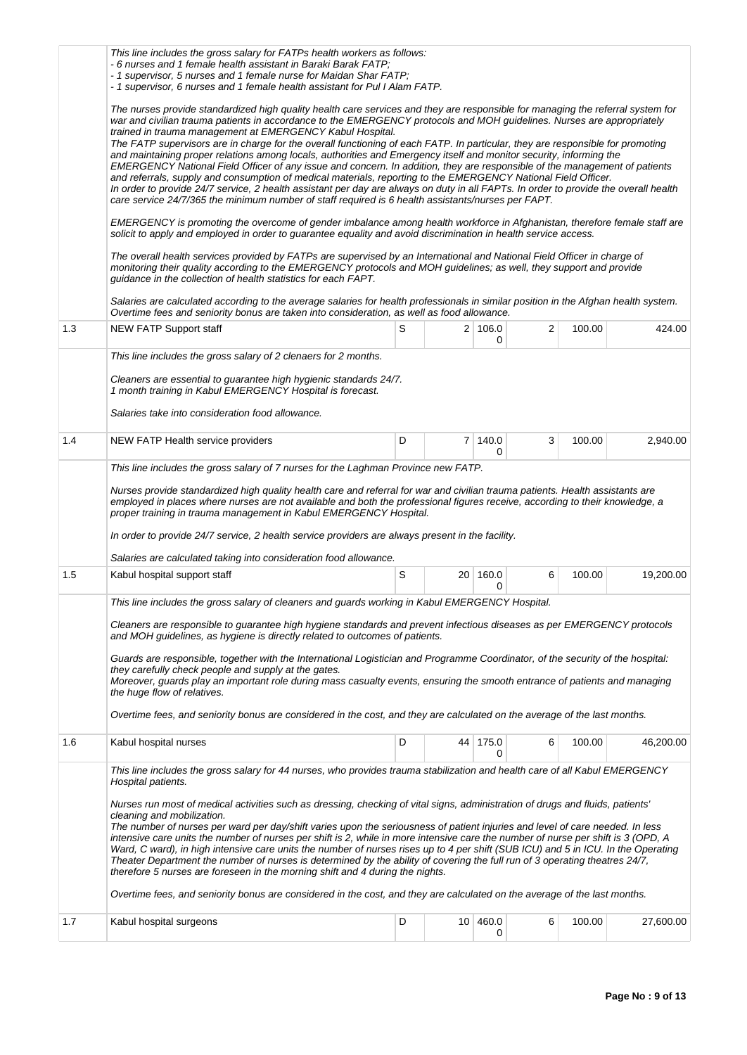|     | This line includes the gross salary for FATPs health workers as follows:                                                                                                                                                                                                                                                                                                                                                                                                                                                                                                                                                                                                                                                                                                                                                                                                                                                                                                                                                                                                      |   |  |                 |   |        |           |  |  |  |
|-----|-------------------------------------------------------------------------------------------------------------------------------------------------------------------------------------------------------------------------------------------------------------------------------------------------------------------------------------------------------------------------------------------------------------------------------------------------------------------------------------------------------------------------------------------------------------------------------------------------------------------------------------------------------------------------------------------------------------------------------------------------------------------------------------------------------------------------------------------------------------------------------------------------------------------------------------------------------------------------------------------------------------------------------------------------------------------------------|---|--|-----------------|---|--------|-----------|--|--|--|
|     | - 6 nurses and 1 female health assistant in Baraki Barak FATP;<br>- 1 supervisor, 5 nurses and 1 female nurse for Maidan Shar FATP;<br>- 1 supervisor, 6 nurses and 1 female health assistant for Pul I Alam FATP.                                                                                                                                                                                                                                                                                                                                                                                                                                                                                                                                                                                                                                                                                                                                                                                                                                                            |   |  |                 |   |        |           |  |  |  |
|     | The nurses provide standardized high quality health care services and they are responsible for managing the referral system for<br>war and civilian trauma patients in accordance to the EMERGENCY protocols and MOH guidelines. Nurses are appropriately<br>trained in trauma management at EMERGENCY Kabul Hospital.<br>The FATP supervisors are in charge for the overall functioning of each FATP. In particular, they are responsible for promoting<br>and maintaining proper relations among locals, authorities and Emergency itself and monitor security, informing the<br>EMERGENCY National Field Officer of any issue and concern. In addition, they are responsible of the management of patients<br>and referrals, supply and consumption of medical materials, reporting to the EMERGENCY National Field Officer.<br>In order to provide 24/7 service, 2 health assistant per day are always on duty in all FAPTs. In order to provide the overall health<br>care service 24/7/365 the minimum number of staff required is 6 health assistants/nurses per FAPT. |   |  |                 |   |        |           |  |  |  |
|     | EMERGENCY is promoting the overcome of gender imbalance among health workforce in Afghanistan, therefore female staff are<br>solicit to apply and employed in order to guarantee equality and avoid discrimination in health service access.                                                                                                                                                                                                                                                                                                                                                                                                                                                                                                                                                                                                                                                                                                                                                                                                                                  |   |  |                 |   |        |           |  |  |  |
|     | The overall health services provided by FATPs are supervised by an International and National Field Officer in charge of<br>monitoring their quality according to the EMERGENCY protocols and MOH guidelines; as well, they support and provide<br>guidance in the collection of health statistics for each FAPT.                                                                                                                                                                                                                                                                                                                                                                                                                                                                                                                                                                                                                                                                                                                                                             |   |  |                 |   |        |           |  |  |  |
|     | Salaries are calculated according to the average salaries for health professionals in similar position in the Afghan health system.<br>Overtime fees and seniority bonus are taken into consideration, as well as food allowance.                                                                                                                                                                                                                                                                                                                                                                                                                                                                                                                                                                                                                                                                                                                                                                                                                                             |   |  |                 |   |        |           |  |  |  |
| 1.3 | <b>NEW FATP Support staff</b>                                                                                                                                                                                                                                                                                                                                                                                                                                                                                                                                                                                                                                                                                                                                                                                                                                                                                                                                                                                                                                                 | S |  | 2 106.0<br>0    | 2 | 100.00 | 424.00    |  |  |  |
|     | This line includes the gross salary of 2 clenaers for 2 months.                                                                                                                                                                                                                                                                                                                                                                                                                                                                                                                                                                                                                                                                                                                                                                                                                                                                                                                                                                                                               |   |  |                 |   |        |           |  |  |  |
|     | Cleaners are essential to guarantee high hygienic standards 24/7.<br>1 month training in Kabul EMERGENCY Hospital is forecast.                                                                                                                                                                                                                                                                                                                                                                                                                                                                                                                                                                                                                                                                                                                                                                                                                                                                                                                                                |   |  |                 |   |        |           |  |  |  |
|     | Salaries take into consideration food allowance.                                                                                                                                                                                                                                                                                                                                                                                                                                                                                                                                                                                                                                                                                                                                                                                                                                                                                                                                                                                                                              |   |  |                 |   |        |           |  |  |  |
| 1.4 | NEW FATP Health service providers                                                                                                                                                                                                                                                                                                                                                                                                                                                                                                                                                                                                                                                                                                                                                                                                                                                                                                                                                                                                                                             | D |  | 7 140.0<br>0    | 3 | 100.00 | 2,940.00  |  |  |  |
|     | This line includes the gross salary of 7 nurses for the Laghman Province new FATP.                                                                                                                                                                                                                                                                                                                                                                                                                                                                                                                                                                                                                                                                                                                                                                                                                                                                                                                                                                                            |   |  |                 |   |        |           |  |  |  |
|     | Nurses provide standardized high quality health care and referral for war and civilian trauma patients. Health assistants are<br>employed in places where nurses are not available and both the professional figures receive, according to their knowledge, a<br>proper training in trauma management in Kabul EMERGENCY Hospital.                                                                                                                                                                                                                                                                                                                                                                                                                                                                                                                                                                                                                                                                                                                                            |   |  |                 |   |        |           |  |  |  |
|     | In order to provide 24/7 service, 2 health service providers are always present in the facility.                                                                                                                                                                                                                                                                                                                                                                                                                                                                                                                                                                                                                                                                                                                                                                                                                                                                                                                                                                              |   |  |                 |   |        |           |  |  |  |
|     | Salaries are calculated taking into consideration food allowance.                                                                                                                                                                                                                                                                                                                                                                                                                                                                                                                                                                                                                                                                                                                                                                                                                                                                                                                                                                                                             |   |  |                 |   |        |           |  |  |  |
| 1.5 | Kabul hospital support staff                                                                                                                                                                                                                                                                                                                                                                                                                                                                                                                                                                                                                                                                                                                                                                                                                                                                                                                                                                                                                                                  | S |  | 20 160.0<br>0   | 6 | 100.00 | 19,200.00 |  |  |  |
|     | This line includes the gross salary of cleaners and guards working in Kabul EMERGENCY Hospital.                                                                                                                                                                                                                                                                                                                                                                                                                                                                                                                                                                                                                                                                                                                                                                                                                                                                                                                                                                               |   |  |                 |   |        |           |  |  |  |
|     | Cleaners are responsible to guarantee high hygiene standards and prevent infectious diseases as per EMERGENCY protocols<br>and MOH quidelines, as hygiene is directly related to outcomes of patients.                                                                                                                                                                                                                                                                                                                                                                                                                                                                                                                                                                                                                                                                                                                                                                                                                                                                        |   |  |                 |   |        |           |  |  |  |
|     | Guards are responsible, together with the International Logistician and Programme Coordinator, of the security of the hospital:<br>they carefully check people and supply at the gates.<br>Moreover, guards play an important role during mass casualty events, ensuring the smooth entrance of patients and managing<br>the huge flow of relatives.                                                                                                                                                                                                                                                                                                                                                                                                                                                                                                                                                                                                                                                                                                                          |   |  |                 |   |        |           |  |  |  |
|     | Overtime fees, and seniority bonus are considered in the cost, and they are calculated on the average of the last months.                                                                                                                                                                                                                                                                                                                                                                                                                                                                                                                                                                                                                                                                                                                                                                                                                                                                                                                                                     |   |  |                 |   |        |           |  |  |  |
| 1.6 | Kabul hospital nurses                                                                                                                                                                                                                                                                                                                                                                                                                                                                                                                                                                                                                                                                                                                                                                                                                                                                                                                                                                                                                                                         | D |  | 44 175.0<br>0   | 6 | 100.00 | 46,200.00 |  |  |  |
|     | This line includes the gross salary for 44 nurses, who provides trauma stabilization and health care of all Kabul EMERGENCY<br>Hospital patients.                                                                                                                                                                                                                                                                                                                                                                                                                                                                                                                                                                                                                                                                                                                                                                                                                                                                                                                             |   |  |                 |   |        |           |  |  |  |
|     | Nurses run most of medical activities such as dressing, checking of vital signs, administration of drugs and fluids, patients'<br>cleaning and mobilization.<br>The number of nurses per ward per day/shift varies upon the seriousness of patient injuries and level of care needed. In less<br>intensive care units the number of nurses per shift is 2, while in more intensive care the number of nurse per shift is 3 (OPD, A<br>Ward, C ward), in high intensive care units the number of nurses rises up to 4 per shift (SUB ICU) and 5 in ICU. In the Operating<br>Theater Department the number of nurses is determined by the ability of covering the full run of 3 operating theatres 24/7,<br>therefore 5 nurses are foreseen in the morning shift and 4 during the nights.                                                                                                                                                                                                                                                                                       |   |  |                 |   |        |           |  |  |  |
|     | Overtime fees, and seniority bonus are considered in the cost, and they are calculated on the average of the last months.                                                                                                                                                                                                                                                                                                                                                                                                                                                                                                                                                                                                                                                                                                                                                                                                                                                                                                                                                     |   |  |                 |   |        |           |  |  |  |
| 1.7 | Kabul hospital surgeons                                                                                                                                                                                                                                                                                                                                                                                                                                                                                                                                                                                                                                                                                                                                                                                                                                                                                                                                                                                                                                                       | D |  | 10   460.0<br>0 | 6 | 100.00 | 27,600.00 |  |  |  |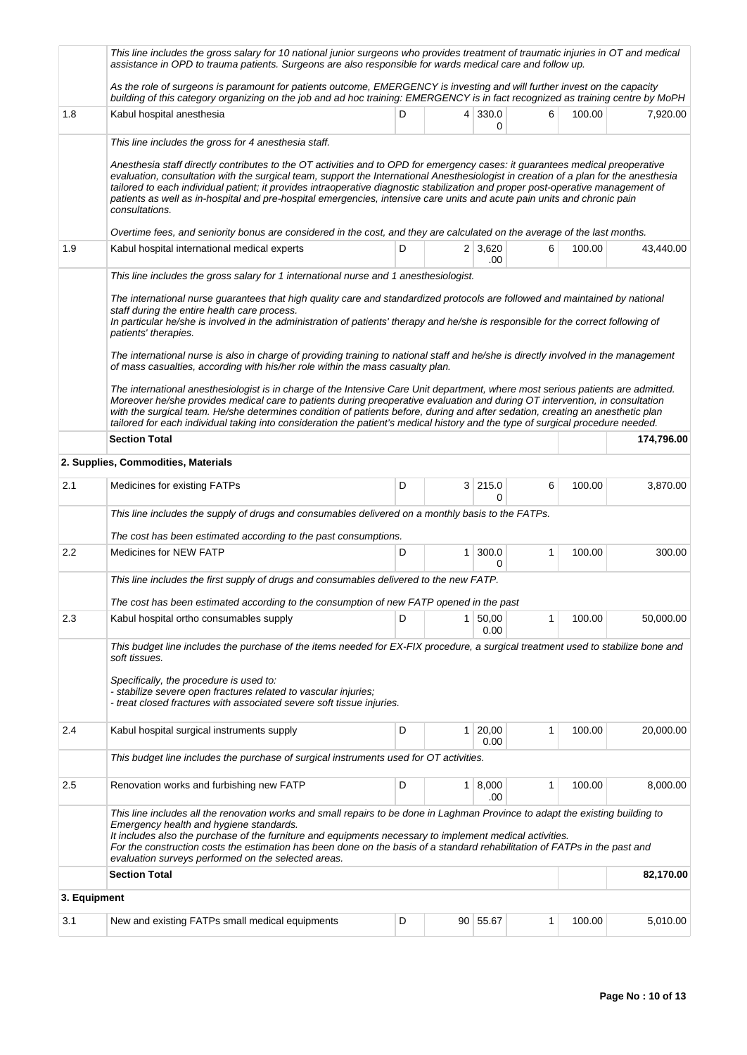|              | This line includes the gross salary for 10 national junior surgeons who provides treatment of traumatic injuries in OT and medical<br>assistance in OPD to trauma patients. Surgeons are also responsible for wards medical care and follow up.                                                                                                                                                                                                                                                                                                                                                                                                                                                                                                                                                                                                                                                                                                                           |   |   |                       |   |        |            |  |  |  |
|--------------|---------------------------------------------------------------------------------------------------------------------------------------------------------------------------------------------------------------------------------------------------------------------------------------------------------------------------------------------------------------------------------------------------------------------------------------------------------------------------------------------------------------------------------------------------------------------------------------------------------------------------------------------------------------------------------------------------------------------------------------------------------------------------------------------------------------------------------------------------------------------------------------------------------------------------------------------------------------------------|---|---|-----------------------|---|--------|------------|--|--|--|
|              | As the role of surgeons is paramount for patients outcome, EMERGENCY is investing and will further invest on the capacity<br>building of this category organizing on the job and ad hoc training: EMERGENCY is in fact recognized as training centre by MoPH                                                                                                                                                                                                                                                                                                                                                                                                                                                                                                                                                                                                                                                                                                              |   |   |                       |   |        |            |  |  |  |
| 1.8          | Kabul hospital anesthesia                                                                                                                                                                                                                                                                                                                                                                                                                                                                                                                                                                                                                                                                                                                                                                                                                                                                                                                                                 | D |   | 4 330.0<br>0          | 6 | 100.00 | 7,920.00   |  |  |  |
|              | This line includes the gross for 4 anesthesia staff.                                                                                                                                                                                                                                                                                                                                                                                                                                                                                                                                                                                                                                                                                                                                                                                                                                                                                                                      |   |   |                       |   |        |            |  |  |  |
|              | Anesthesia staff directly contributes to the OT activities and to OPD for emergency cases: it guarantees medical preoperative<br>evaluation, consultation with the surgical team, support the International Anesthesiologist in creation of a plan for the anesthesia<br>tailored to each individual patient; it provides intraoperative diagnostic stabilization and proper post-operative management of<br>patients as well as in-hospital and pre-hospital emergencies, intensive care units and acute pain units and chronic pain<br>consultations.                                                                                                                                                                                                                                                                                                                                                                                                                   |   |   |                       |   |        |            |  |  |  |
|              | Overtime fees, and seniority bonus are considered in the cost, and they are calculated on the average of the last months.                                                                                                                                                                                                                                                                                                                                                                                                                                                                                                                                                                                                                                                                                                                                                                                                                                                 |   |   |                       |   |        |            |  |  |  |
| 1.9          | Kabul hospital international medical experts                                                                                                                                                                                                                                                                                                                                                                                                                                                                                                                                                                                                                                                                                                                                                                                                                                                                                                                              | D |   | $2 \mid 3,620$<br>.00 | 6 | 100.00 | 43,440.00  |  |  |  |
|              | This line includes the gross salary for 1 international nurse and 1 anesthesiologist.                                                                                                                                                                                                                                                                                                                                                                                                                                                                                                                                                                                                                                                                                                                                                                                                                                                                                     |   |   |                       |   |        |            |  |  |  |
|              | The international nurse guarantees that high quality care and standardized protocols are followed and maintained by national<br>staff during the entire health care process.<br>In particular he/she is involved in the administration of patients' therapy and he/she is responsible for the correct following of<br>patients' therapies.<br>The international nurse is also in charge of providing training to national staff and he/she is directly involved in the management<br>of mass casualties, according with his/her role within the mass casualty plan.<br>The international anesthesiologist is in charge of the Intensive Care Unit department, where most serious patients are admitted.<br>Moreover he/she provides medical care to patients during preoperative evaluation and during OT intervention, in consultation<br>with the surgical team. He/she determines condition of patients before, during and after sedation, creating an anesthetic plan |   |   |                       |   |        |            |  |  |  |
|              | tailored for each individual taking into consideration the patient's medical history and the type of surgical procedure needed.<br><b>Section Total</b>                                                                                                                                                                                                                                                                                                                                                                                                                                                                                                                                                                                                                                                                                                                                                                                                                   |   |   |                       |   |        | 174,796.00 |  |  |  |
|              |                                                                                                                                                                                                                                                                                                                                                                                                                                                                                                                                                                                                                                                                                                                                                                                                                                                                                                                                                                           |   |   |                       |   |        |            |  |  |  |
|              | 2. Supplies, Commodities, Materials                                                                                                                                                                                                                                                                                                                                                                                                                                                                                                                                                                                                                                                                                                                                                                                                                                                                                                                                       |   |   |                       |   |        |            |  |  |  |
| 2.1          | Medicines for existing FATPs                                                                                                                                                                                                                                                                                                                                                                                                                                                                                                                                                                                                                                                                                                                                                                                                                                                                                                                                              | D |   | 3 215.0<br>0          | 6 | 100.00 | 3,870.00   |  |  |  |
|              | This line includes the supply of drugs and consumables delivered on a monthly basis to the FATPs.                                                                                                                                                                                                                                                                                                                                                                                                                                                                                                                                                                                                                                                                                                                                                                                                                                                                         |   |   |                       |   |        |            |  |  |  |
|              | The cost has been estimated according to the past consumptions.                                                                                                                                                                                                                                                                                                                                                                                                                                                                                                                                                                                                                                                                                                                                                                                                                                                                                                           |   |   |                       |   |        |            |  |  |  |
| 2.2          | <b>Medicines for NEW FATP</b>                                                                                                                                                                                                                                                                                                                                                                                                                                                                                                                                                                                                                                                                                                                                                                                                                                                                                                                                             | D | 1 | 300.0<br>0            | 1 | 100.00 | 300.00     |  |  |  |
|              | This line includes the first supply of drugs and consumables delivered to the new FATP.                                                                                                                                                                                                                                                                                                                                                                                                                                                                                                                                                                                                                                                                                                                                                                                                                                                                                   |   |   |                       |   |        |            |  |  |  |
|              | The cost has been estimated according to the consumption of new FATP opened in the past                                                                                                                                                                                                                                                                                                                                                                                                                                                                                                                                                                                                                                                                                                                                                                                                                                                                                   |   |   |                       |   |        |            |  |  |  |
| 2.3          | Kabul hospital ortho consumables supply                                                                                                                                                                                                                                                                                                                                                                                                                                                                                                                                                                                                                                                                                                                                                                                                                                                                                                                                   | D | 1 | 50,00<br>0.00         | 1 | 100.00 | 50,000.00  |  |  |  |
|              | This budget line includes the purchase of the items needed for EX-FIX procedure, a surgical treatment used to stabilize bone and<br>soft tissues.                                                                                                                                                                                                                                                                                                                                                                                                                                                                                                                                                                                                                                                                                                                                                                                                                         |   |   |                       |   |        |            |  |  |  |
|              | Specifically, the procedure is used to:<br>- stabilize severe open fractures related to vascular injuries;<br>- treat closed fractures with associated severe soft tissue injuries.                                                                                                                                                                                                                                                                                                                                                                                                                                                                                                                                                                                                                                                                                                                                                                                       |   |   |                       |   |        |            |  |  |  |
| 2.4          | Kabul hospital surgical instruments supply                                                                                                                                                                                                                                                                                                                                                                                                                                                                                                                                                                                                                                                                                                                                                                                                                                                                                                                                | D | 1 | 20,00<br>0.00         | 1 | 100.00 | 20,000.00  |  |  |  |
|              | This budget line includes the purchase of surgical instruments used for OT activities.                                                                                                                                                                                                                                                                                                                                                                                                                                                                                                                                                                                                                                                                                                                                                                                                                                                                                    |   |   |                       |   |        |            |  |  |  |
| 2.5          | Renovation works and furbishing new FATP                                                                                                                                                                                                                                                                                                                                                                                                                                                                                                                                                                                                                                                                                                                                                                                                                                                                                                                                  | D | 1 | 8,000<br>.00          | 1 | 100.00 | 8,000.00   |  |  |  |
|              | This line includes all the renovation works and small repairs to be done in Laghman Province to adapt the existing building to<br>Emergency health and hygiene standards.<br>It includes also the purchase of the furniture and equipments necessary to implement medical activities.<br>For the construction costs the estimation has been done on the basis of a standard rehabilitation of FATPs in the past and<br>evaluation surveys performed on the selected areas.                                                                                                                                                                                                                                                                                                                                                                                                                                                                                                |   |   |                       |   |        |            |  |  |  |
|              | <b>Section Total</b>                                                                                                                                                                                                                                                                                                                                                                                                                                                                                                                                                                                                                                                                                                                                                                                                                                                                                                                                                      |   |   |                       |   |        | 82,170.00  |  |  |  |
| 3. Equipment |                                                                                                                                                                                                                                                                                                                                                                                                                                                                                                                                                                                                                                                                                                                                                                                                                                                                                                                                                                           |   |   |                       |   |        |            |  |  |  |
| 3.1          | New and existing FATPs small medical equipments                                                                                                                                                                                                                                                                                                                                                                                                                                                                                                                                                                                                                                                                                                                                                                                                                                                                                                                           | D |   | 90 55.67              | 1 | 100.00 | 5,010.00   |  |  |  |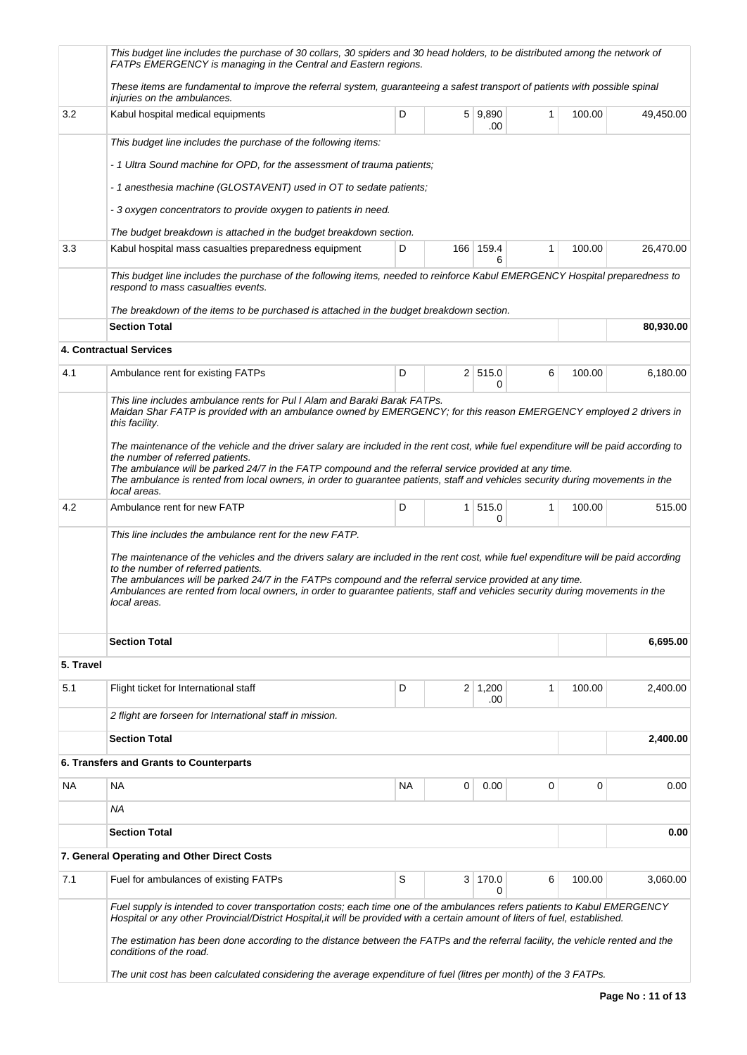|           | This budget line includes the purchase of 30 collars, 30 spiders and 30 head holders, to be distributed among the network of<br>FATPs EMERGENCY is managing in the Central and Eastern regions.                                                                                                                                                                                                                                       |           |                |                       |   |        |           |  |  |  |  |  |  |
|-----------|---------------------------------------------------------------------------------------------------------------------------------------------------------------------------------------------------------------------------------------------------------------------------------------------------------------------------------------------------------------------------------------------------------------------------------------|-----------|----------------|-----------------------|---|--------|-----------|--|--|--|--|--|--|
|           | These items are fundamental to improve the referral system, guaranteeing a safest transport of patients with possible spinal<br>injuries on the ambulances.                                                                                                                                                                                                                                                                           |           |                |                       |   |        |           |  |  |  |  |  |  |
| 3.2       | Kabul hospital medical equipments                                                                                                                                                                                                                                                                                                                                                                                                     | D         |                | 5   9,890<br>.00      | 1 | 100.00 | 49,450.00 |  |  |  |  |  |  |
|           | This budget line includes the purchase of the following items:                                                                                                                                                                                                                                                                                                                                                                        |           |                |                       |   |        |           |  |  |  |  |  |  |
|           | -1 Ultra Sound machine for OPD, for the assessment of trauma patients;                                                                                                                                                                                                                                                                                                                                                                |           |                |                       |   |        |           |  |  |  |  |  |  |
|           | - 1 anesthesia machine (GLOSTAVENT) used in OT to sedate patients;                                                                                                                                                                                                                                                                                                                                                                    |           |                |                       |   |        |           |  |  |  |  |  |  |
|           | - 3 oxygen concentrators to provide oxygen to patients in need.                                                                                                                                                                                                                                                                                                                                                                       |           |                |                       |   |        |           |  |  |  |  |  |  |
|           | The budget breakdown is attached in the budget breakdown section.                                                                                                                                                                                                                                                                                                                                                                     |           |                |                       |   |        |           |  |  |  |  |  |  |
| 3.3       | Kabul hospital mass casualties preparedness equipment                                                                                                                                                                                                                                                                                                                                                                                 | D         |                | 166 159.4<br>6        | 1 | 100.00 | 26,470.00 |  |  |  |  |  |  |
|           | This budget line includes the purchase of the following items, needed to reinforce Kabul EMERGENCY Hospital preparedness to<br>respond to mass casualties events.                                                                                                                                                                                                                                                                     |           |                |                       |   |        |           |  |  |  |  |  |  |
|           | The breakdown of the items to be purchased is attached in the budget breakdown section.                                                                                                                                                                                                                                                                                                                                               |           |                |                       |   |        |           |  |  |  |  |  |  |
|           | <b>Section Total</b>                                                                                                                                                                                                                                                                                                                                                                                                                  |           |                |                       |   |        | 80,930.00 |  |  |  |  |  |  |
|           | <b>4. Contractual Services</b>                                                                                                                                                                                                                                                                                                                                                                                                        |           |                |                       |   |        |           |  |  |  |  |  |  |
| 4.1       | Ambulance rent for existing FATPs                                                                                                                                                                                                                                                                                                                                                                                                     | D         |                | 2 515.0<br>0          | 6 | 100.00 | 6,180.00  |  |  |  |  |  |  |
|           | This line includes ambulance rents for Pul I Alam and Baraki Barak FATPs.<br>Maidan Shar FATP is provided with an ambulance owned by EMERGENCY; for this reason EMERGENCY employed 2 drivers in<br>this facility.<br>The maintenance of the vehicle and the driver salary are included in the rent cost, while fuel expenditure will be paid according to<br>the number of referred patients.                                         |           |                |                       |   |        |           |  |  |  |  |  |  |
|           | The ambulance will be parked 24/7 in the FATP compound and the referral service provided at any time.<br>The ambulance is rented from local owners, in order to guarantee patients, staff and vehicles security during movements in the<br>local areas.                                                                                                                                                                               |           |                |                       |   |        |           |  |  |  |  |  |  |
| 4.2       | Ambulance rent for new FATP                                                                                                                                                                                                                                                                                                                                                                                                           | D         | 1 <sup>1</sup> | 515.0<br>0            | 1 | 100.00 | 515.00    |  |  |  |  |  |  |
|           | The maintenance of the vehicles and the drivers salary are included in the rent cost, while fuel expenditure will be paid according<br>to the number of referred patients.<br>The ambulances will be parked 24/7 in the FATPs compound and the referral service provided at any time.<br>Ambulances are rented from local owners, in order to guarantee patients, staff and vehicles security during movements in the<br>local areas. |           |                |                       |   |        |           |  |  |  |  |  |  |
|           | <b>Section Total</b>                                                                                                                                                                                                                                                                                                                                                                                                                  |           |                |                       |   |        | 6,695.00  |  |  |  |  |  |  |
| 5. Travel |                                                                                                                                                                                                                                                                                                                                                                                                                                       |           |                |                       |   |        |           |  |  |  |  |  |  |
| 5.1       | Flight ticket for International staff                                                                                                                                                                                                                                                                                                                                                                                                 | D         |                | $2 \mid 1,200$<br>.00 | 1 | 100.00 | 2,400.00  |  |  |  |  |  |  |
|           | 2 flight are forseen for International staff in mission.                                                                                                                                                                                                                                                                                                                                                                              |           |                |                       |   |        |           |  |  |  |  |  |  |
|           | <b>Section Total</b>                                                                                                                                                                                                                                                                                                                                                                                                                  |           |                |                       |   |        | 2,400.00  |  |  |  |  |  |  |
|           | 6. Transfers and Grants to Counterparts                                                                                                                                                                                                                                                                                                                                                                                               |           |                |                       |   |        |           |  |  |  |  |  |  |
| <b>NA</b> | <b>NA</b>                                                                                                                                                                                                                                                                                                                                                                                                                             | <b>NA</b> | 0              | 0.00                  | 0 | 0      | 0.00      |  |  |  |  |  |  |
|           | <b>NA</b>                                                                                                                                                                                                                                                                                                                                                                                                                             |           |                |                       |   |        |           |  |  |  |  |  |  |
|           | <b>Section Total</b>                                                                                                                                                                                                                                                                                                                                                                                                                  |           |                |                       |   |        | 0.00      |  |  |  |  |  |  |
|           | 7. General Operating and Other Direct Costs                                                                                                                                                                                                                                                                                                                                                                                           |           |                |                       |   |        |           |  |  |  |  |  |  |
| 7.1       | Fuel for ambulances of existing FATPs                                                                                                                                                                                                                                                                                                                                                                                                 | S         | 3              | 170.0<br>0            | 6 | 100.00 | 3,060.00  |  |  |  |  |  |  |
|           | Fuel supply is intended to cover transportation costs; each time one of the ambulances refers patients to Kabul EMERGENCY<br>Hospital or any other Provincial/District Hospital, it will be provided with a certain amount of liters of fuel, established.<br>The estimation has been done according to the distance between the FATPs and the referral facility, the vehicle rented and the<br>conditions of the road.               |           |                |                       |   |        |           |  |  |  |  |  |  |
|           | The unit cost has been calculated considering the average expenditure of fuel (litres per month) of the 3 FATPs.                                                                                                                                                                                                                                                                                                                      |           |                |                       |   |        |           |  |  |  |  |  |  |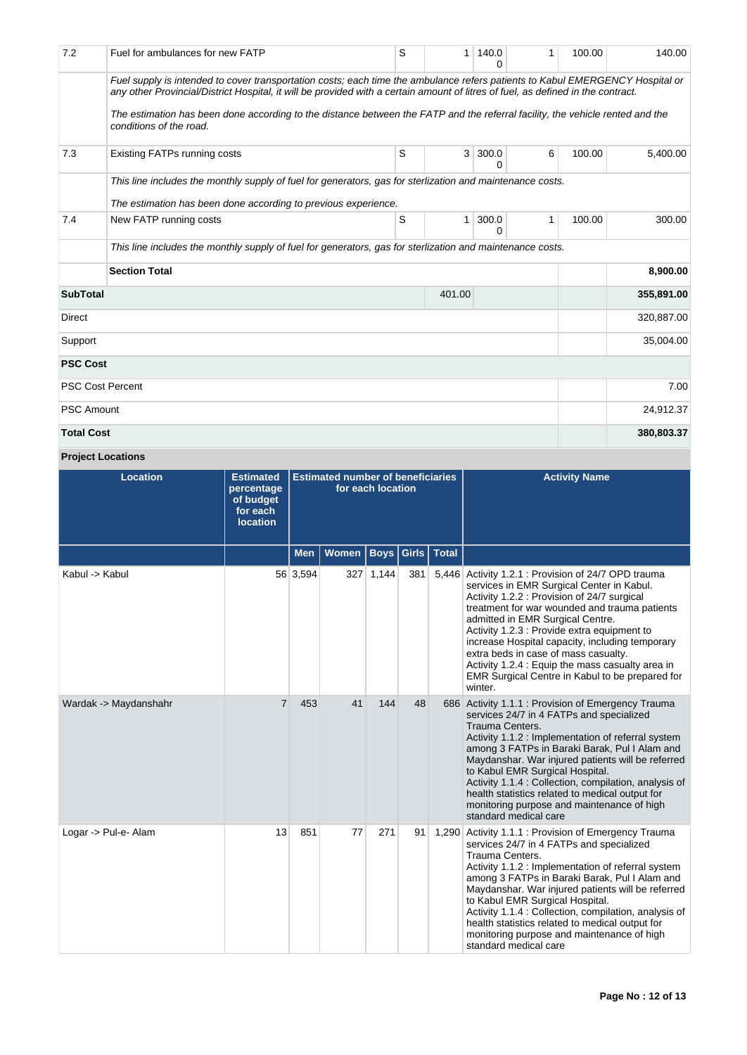| 7.2               | Fuel for ambulances for new FATP                                                                                                                                                                                                                                  | S | 1      | 140.0      | 1 | 100.00 | 140.00     |
|-------------------|-------------------------------------------------------------------------------------------------------------------------------------------------------------------------------------------------------------------------------------------------------------------|---|--------|------------|---|--------|------------|
|                   | Fuel supply is intended to cover transportation costs; each time the ambulance refers patients to Kabul EMERGENCY Hospital or<br>any other Provincial/District Hospital, it will be provided with a certain amount of litres of fuel, as defined in the contract. |   |        |            |   |        |            |
|                   | The estimation has been done according to the distance between the FATP and the referral facility, the vehicle rented and the<br>conditions of the road.                                                                                                          |   |        |            |   |        |            |
| 7.3               | <b>Existing FATPs running costs</b>                                                                                                                                                                                                                               | S | 3      | 300.0<br>ი | 6 | 100.00 | 5,400.00   |
|                   | This line includes the monthly supply of fuel for generators, gas for sterlization and maintenance costs.                                                                                                                                                         |   |        |            |   |        |            |
|                   | The estimation has been done according to previous experience.                                                                                                                                                                                                    |   |        |            |   |        |            |
| 7.4               | New FATP running costs                                                                                                                                                                                                                                            | S | 1      | 300.0<br>∩ | 1 | 100.00 | 300.00     |
|                   | This line includes the monthly supply of fuel for generators, gas for sterlization and maintenance costs.                                                                                                                                                         |   |        |            |   |        |            |
|                   | <b>Section Total</b>                                                                                                                                                                                                                                              |   |        |            |   |        | 8,900.00   |
| <b>SubTotal</b>   |                                                                                                                                                                                                                                                                   |   | 401.00 |            |   |        | 355,891.00 |
| Direct            |                                                                                                                                                                                                                                                                   |   |        |            |   |        | 320,887.00 |
| Support           |                                                                                                                                                                                                                                                                   |   |        |            |   |        |            |
| <b>PSC Cost</b>   |                                                                                                                                                                                                                                                                   |   |        |            |   |        |            |
|                   | <b>PSC Cost Percent</b>                                                                                                                                                                                                                                           |   |        |            |   |        | 7.00       |
| <b>PSC Amount</b> |                                                                                                                                                                                                                                                                   |   |        |            |   |        | 24,912.37  |
| <b>Total Cost</b> |                                                                                                                                                                                                                                                                   |   |        |            |   |        | 380,803.37 |

# **Project Locations**

| <b>Location</b>       | <b>Estimated</b><br>percentage<br>of budget<br>for each<br><b>location</b> | <b>Estimated number of beneficiaries</b><br>for each location |              |           |     |               | <b>Activity Name</b>                                                                                                                                                                                                                                                                                                                                                                                                                                                                                         |
|-----------------------|----------------------------------------------------------------------------|---------------------------------------------------------------|--------------|-----------|-----|---------------|--------------------------------------------------------------------------------------------------------------------------------------------------------------------------------------------------------------------------------------------------------------------------------------------------------------------------------------------------------------------------------------------------------------------------------------------------------------------------------------------------------------|
|                       |                                                                            | <b>Men</b>                                                    | <b>Women</b> | Boys      |     | Girls   Total |                                                                                                                                                                                                                                                                                                                                                                                                                                                                                                              |
| Kabul -> Kabul        |                                                                            | 56 3,594                                                      |              | 327 1,144 | 381 |               | 5,446 Activity 1.2.1 : Provision of 24/7 OPD trauma<br>services in EMR Surgical Center in Kabul.<br>Activity 1.2.2 : Provision of 24/7 surgical<br>treatment for war wounded and trauma patients<br>admitted in EMR Surgical Centre.<br>Activity 1.2.3 : Provide extra equipment to<br>increase Hospital capacity, including temporary<br>extra beds in case of mass casualty.<br>Activity 1.2.4 : Equip the mass casualty area in<br>EMR Surgical Centre in Kabul to be prepared for<br>winter.             |
| Wardak -> Maydanshahr | $\overline{7}$                                                             | 453                                                           | 41           | 144       | 48  |               | 686 Activity 1.1.1 : Provision of Emergency Trauma<br>services 24/7 in 4 FATPs and specialized<br>Trauma Centers.<br>Activity 1.1.2 : Implementation of referral system<br>among 3 FATPs in Baraki Barak, Pul I Alam and<br>Maydanshar. War injured patients will be referred<br>to Kabul EMR Surgical Hospital.<br>Activity 1.1.4 : Collection, compilation, analysis of<br>health statistics related to medical output for<br>monitoring purpose and maintenance of high<br>standard medical care          |
| Logar -> Pul-e- Alam  | 13                                                                         | 851                                                           | 77           | 271       | 91  |               | 1,290 Activity 1.1.1 : Provision of Emergency Trauma<br>services 24/7 in 4 FATPs and specialized<br><b>Trauma Centers.</b><br>Activity 1.1.2 : Implementation of referral system<br>among 3 FATPs in Baraki Barak, Pul I Alam and<br>Maydanshar. War injured patients will be referred<br>to Kabul EMR Surgical Hospital.<br>Activity 1.1.4 : Collection, compilation, analysis of<br>health statistics related to medical output for<br>monitoring purpose and maintenance of high<br>standard medical care |